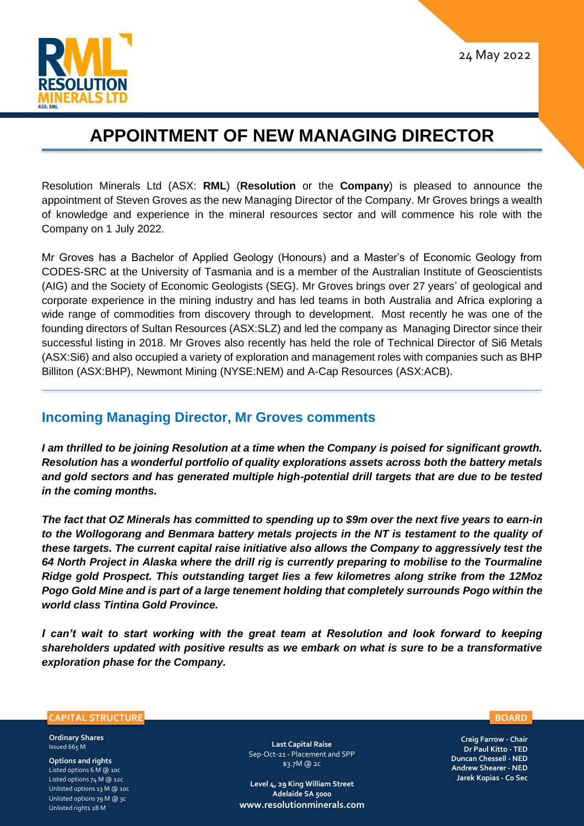

## **APPOINTMENT OF NEW MANAGING DIRECTOR**

Resolution Minerals Ltd (ASX: **RML**) (**Resolution** or the **Company**) is pleased to announce the appointment of Steven Groves as the new Managing Director of the Company. Mr Groves brings a wealth of knowledge and experience in the mineral resources sector and will commence his role with the Company on 1 July 2022.

Mr Groves has a Bachelor of Applied Geology (Honours) and a Master's of Economic Geology from CODES-SRC at the University of Tasmania and is a member of the Australian Institute of Geoscientists (AIG) and the Society of Economic Geologists (SEG). Mr Groves brings over 27 years' of geological and corporate experience in the mining industry and has led teams in both Australia and Africa exploring a wide range of commodities from discovery through to development. Most recently he was one of the founding directors of Sultan Resources (ASX:SLZ) and led the company as Managing Director since their successful listing in 2018. Mr Groves also recently has held the role of Technical Director of Si6 Metals (ASX:Si6) and also occupied a variety of exploration and management roles with companies such as BHP Billiton (ASX:BHP), Newmont Mining (NYSE:NEM) and A-Cap Resources (ASX:ACB).

## **Incoming Managing Director, Mr Groves comments**

*I am thrilled to be joining Resolution at a time when the Company is poised for significant growth. Resolution has a wonderful portfolio of quality explorations assets across both the battery metals and gold sectors and has generated multiple high-potential drill targets that are due to be tested in the coming months.*

*The fact that OZ Minerals has committed to spending up to \$9m over the next five years to earn-in to the Wollogorang and Benmara battery metals projects in the NT is testament to the quality of these targets. The current capital raise initiative also allows the Company to aggressively test the 64 North Project in Alaska where the drill rig is currently preparing to mobilise to the Tourmaline Ridge gold Prospect. This outstanding target lies a few kilometres along strike from the 12Moz Pogo Gold Mine and is part of a large tenement holding that completely surrounds Pogo within the world class Tintina Gold Province.*

*I can't wait to start working with the great team at Resolution and look forward to keeping shareholders updated with positive results as we embark on what is sure to be a transformative exploration phase for the Company.*

## **CAPITAL STRUCTURE**

**Ordinary Shares**  Issued 665 M

**Options and rights** Listed options 6 M @ 10c Listed options 74 M @ 12c Unlisted options 13 M @ 10c Unlisted options 79 M @ 3c Unlisted rights 28 M

**Last Capital Raise** Sep-Oct-21 - Placement and SPP \$3.7M @ 2c

**Level 4, 29 King William Street Adelaide SA 5000 [www.resolutionminerals.com](http://www.resolutionminerals.com/)** **BOARD**

**Craig Farrow - Chair Dr Paul Kitto - TED Duncan Chessell - NED Andrew Shearer - NED Jarek Kopias - Co Sec**